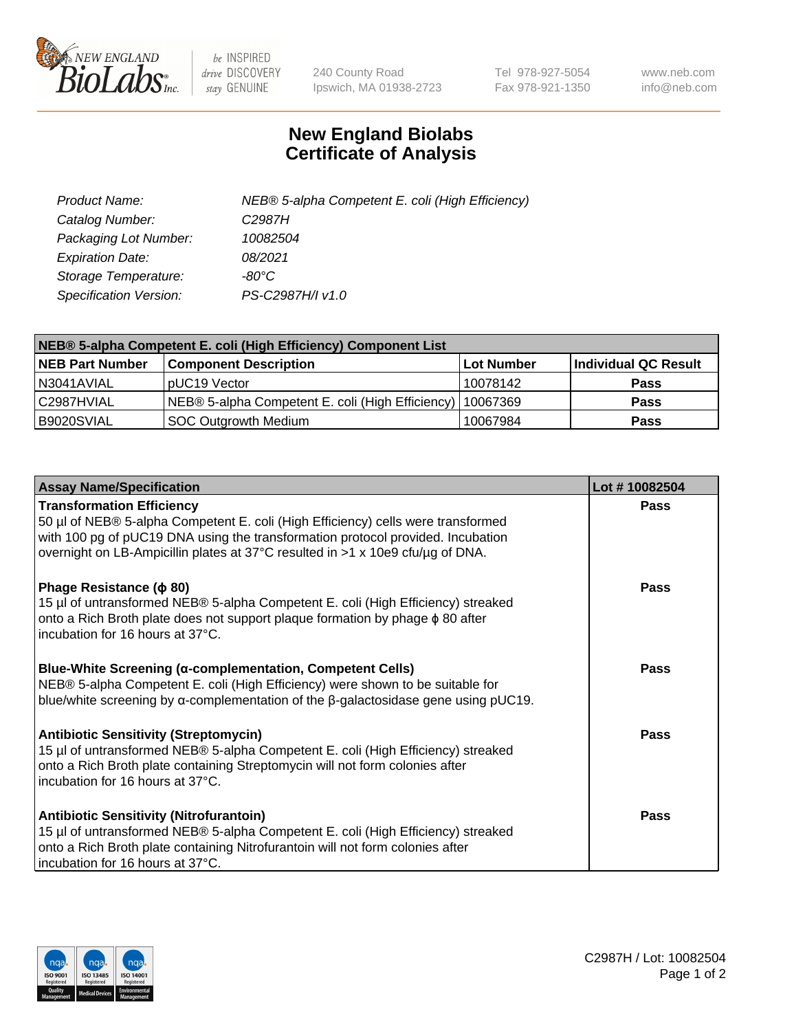

 $be$  INSPIRED drive DISCOVERY stay GENUINE

240 County Road Ipswich, MA 01938-2723 Tel 978-927-5054 Fax 978-921-1350 www.neb.com info@neb.com

## **New England Biolabs Certificate of Analysis**

| Product Name:           | NEB® 5-alpha Competent E. coli (High Efficiency) |
|-------------------------|--------------------------------------------------|
| Catalog Number:         | C <sub>2987</sub> H                              |
| Packaging Lot Number:   | 10082504                                         |
| <b>Expiration Date:</b> | 08/2021                                          |
| Storage Temperature:    | -80°C                                            |
| Specification Version:  | PS-C2987H/I v1.0                                 |

| NEB® 5-alpha Competent E. coli (High Efficiency) Component List |                                                             |                   |                      |  |
|-----------------------------------------------------------------|-------------------------------------------------------------|-------------------|----------------------|--|
| <b>NEB Part Number</b>                                          | <b>Component Description</b>                                | <b>Lot Number</b> | Individual QC Result |  |
| N3041AVIAL                                                      | pUC19 Vector                                                | 10078142          | Pass                 |  |
| C2987HVIAL                                                      | NEB® 5-alpha Competent E. coli (High Efficiency)   10067369 |                   | <b>Pass</b>          |  |
| B9020SVIAL                                                      | SOC Outgrowth Medium                                        | 10067984          | <b>Pass</b>          |  |

| <b>Assay Name/Specification</b>                                                                                                                                                                                                                                                           | Lot #10082504 |
|-------------------------------------------------------------------------------------------------------------------------------------------------------------------------------------------------------------------------------------------------------------------------------------------|---------------|
| <b>Transformation Efficiency</b><br>50 µl of NEB® 5-alpha Competent E. coli (High Efficiency) cells were transformed<br>with 100 pg of pUC19 DNA using the transformation protocol provided. Incubation<br>overnight on LB-Ampicillin plates at 37°C resulted in >1 x 10e9 cfu/µg of DNA. | <b>Pass</b>   |
| Phage Resistance ( $\phi$ 80)<br>15 µl of untransformed NEB® 5-alpha Competent E. coli (High Efficiency) streaked<br>onto a Rich Broth plate does not support plaque formation by phage $\phi$ 80 after<br>incubation for 16 hours at 37°C.                                               | Pass          |
| Blue-White Screening (α-complementation, Competent Cells)<br>NEB® 5-alpha Competent E. coli (High Efficiency) were shown to be suitable for<br>blue/white screening by $\alpha$ -complementation of the $\beta$ -galactosidase gene using pUC19.                                          | Pass          |
| <b>Antibiotic Sensitivity (Streptomycin)</b><br>15 µl of untransformed NEB® 5-alpha Competent E. coli (High Efficiency) streaked<br>onto a Rich Broth plate containing Streptomycin will not form colonies after<br>incubation for 16 hours at 37°C.                                      | Pass          |
| <b>Antibiotic Sensitivity (Nitrofurantoin)</b><br>15 µl of untransformed NEB® 5-alpha Competent E. coli (High Efficiency) streaked<br>onto a Rich Broth plate containing Nitrofurantoin will not form colonies after<br>incubation for 16 hours at 37°C.                                  | <b>Pass</b>   |